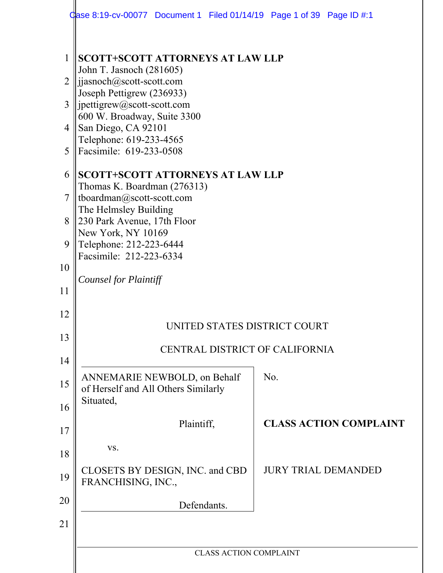|                | Case 8:19-cv-00077 Document 1 Filed 01/14/19 Page 1 of 39 Page ID $\#$ :1        |                                |     |                               |
|----------------|----------------------------------------------------------------------------------|--------------------------------|-----|-------------------------------|
| $\mathbf{1}$   | <b>SCOTT+SCOTT ATTORNEYS AT LAW LLP</b><br>John T. Jasnoch (281605)              |                                |     |                               |
| $\overline{2}$ | jjasnoch@scott-scott.com<br>Joseph Pettigrew (236933)                            |                                |     |                               |
| 3              | $\text{jpettigrew@scott-scott.com}$<br>600 W. Broadway, Suite 3300               |                                |     |                               |
| $\overline{4}$ | San Diego, CA 92101<br>Telephone: 619-233-4565                                   |                                |     |                               |
| 5              | Facsimile: 619-233-0508                                                          |                                |     |                               |
| 6              | <b>SCOTT+SCOTT ATTORNEYS AT LAW LLP</b><br>Thomas K. Boardman (276313)           |                                |     |                               |
| $\overline{7}$ | tboardman@scott-scott.com<br>The Helmsley Building                               |                                |     |                               |
| 8<br>9         | 230 Park Avenue, 17th Floor<br>New York, NY 10169<br>Telephone: 212-223-6444     |                                |     |                               |
| 10             | Facsimile: 212-223-6334                                                          |                                |     |                               |
| 11             | <b>Counsel for Plaintiff</b>                                                     |                                |     |                               |
| 12             |                                                                                  |                                |     |                               |
| 13             |                                                                                  | UNITED STATES DISTRICT COURT   |     |                               |
| 14             |                                                                                  | CENTRAL DISTRICT OF CALIFORNIA |     |                               |
| 15             | ANNEMARIE NEWBOLD, on Behalf<br>of Herself and All Others Similarly<br>Situated, |                                | No. |                               |
| 16             | Plaintiff,                                                                       |                                |     | <b>CLASS ACTION COMPLAINT</b> |
| 17             | VS.                                                                              |                                |     |                               |
| 18             | CLOSETS BY DESIGN, INC. and CBD                                                  |                                |     | <b>JURY TRIAL DEMANDED</b>    |
| 19             | FRANCHISING, INC.,                                                               |                                |     |                               |
| 20<br>21       | Defendants.                                                                      |                                |     |                               |
|                |                                                                                  |                                |     |                               |
|                |                                                                                  | <b>CLASS ACTION COMPLAINT</b>  |     |                               |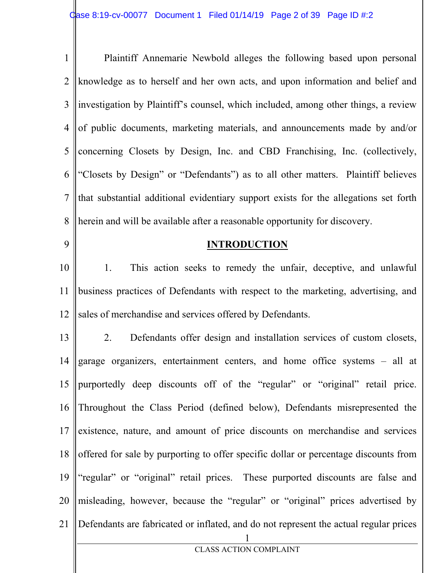| $\mathbf{1}$   | Plaintiff Annemarie Newbold alleges the following based upon personal                |
|----------------|--------------------------------------------------------------------------------------|
| $\overline{2}$ | knowledge as to herself and her own acts, and upon information and belief and        |
| 3 <sup>1</sup> | investigation by Plaintiff's counsel, which included, among other things, a review   |
| 4 <sup>1</sup> | of public documents, marketing materials, and announcements made by and/or           |
| 5 <sup>1</sup> | concerning Closets by Design, Inc. and CBD Franchising, Inc. (collectively,          |
|                | "Closets by Design" or "Defendants") as to all other matters. Plaintiff believes     |
|                | that substantial additional evidentiary support exists for the allegations set forth |
| 8              | herein and will be available after a reasonable opportunity for discovery.           |

9

#### **INTRODUCTION**

10 11 12 1. This action seeks to remedy the unfair, deceptive, and unlawful business practices of Defendants with respect to the marketing, advertising, and sales of merchandise and services offered by Defendants.

1 CLASS ACTION COMPLAINT 13 14 15 16 17 18 19 20 21 2. Defendants offer design and installation services of custom closets, garage organizers, entertainment centers, and home office systems – all at purportedly deep discounts off of the "regular" or "original" retail price. Throughout the Class Period (defined below), Defendants misrepresented the existence, nature, and amount of price discounts on merchandise and services offered for sale by purporting to offer specific dollar or percentage discounts from "regular" or "original" retail prices. These purported discounts are false and misleading, however, because the "regular" or "original" prices advertised by Defendants are fabricated or inflated, and do not represent the actual regular prices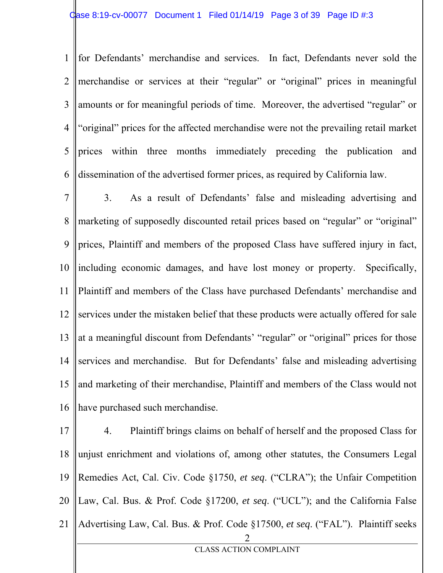1 2 3 4 5 6 for Defendants' merchandise and services. In fact, Defendants never sold the merchandise or services at their "regular" or "original" prices in meaningful amounts or for meaningful periods of time. Moreover, the advertised "regular" or "original" prices for the affected merchandise were not the prevailing retail market prices within three months immediately preceding the publication and dissemination of the advertised former prices, as required by California law.

7 8 9 10 11 12 13 14 15 16 3. As a result of Defendants' false and misleading advertising and marketing of supposedly discounted retail prices based on "regular" or "original" prices, Plaintiff and members of the proposed Class have suffered injury in fact, including economic damages, and have lost money or property. Specifically, Plaintiff and members of the Class have purchased Defendants' merchandise and services under the mistaken belief that these products were actually offered for sale at a meaningful discount from Defendants' "regular" or "original" prices for those services and merchandise. But for Defendants' false and misleading advertising and marketing of their merchandise, Plaintiff and members of the Class would not have purchased such merchandise.

2 CLASS ACTION COMPLAINT 17 18 19 20 21 4. Plaintiff brings claims on behalf of herself and the proposed Class for unjust enrichment and violations of, among other statutes, the Consumers Legal Remedies Act, Cal. Civ. Code §1750, *et seq*. ("CLRA"); the Unfair Competition Law, Cal. Bus. & Prof. Code §17200, *et seq*. ("UCL"); and the California False Advertising Law, Cal. Bus. & Prof. Code §17500, *et seq*. ("FAL"). Plaintiff seeks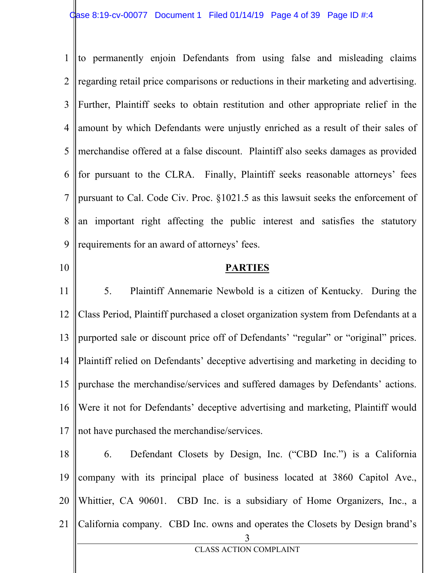1 2 3 4 5 6 7 8 9 to permanently enjoin Defendants from using false and misleading claims regarding retail price comparisons or reductions in their marketing and advertising. Further, Plaintiff seeks to obtain restitution and other appropriate relief in the amount by which Defendants were unjustly enriched as a result of their sales of merchandise offered at a false discount. Plaintiff also seeks damages as provided for pursuant to the CLRA. Finally, Plaintiff seeks reasonable attorneys' fees pursuant to Cal. Code Civ. Proc. §1021.5 as this lawsuit seeks the enforcement of an important right affecting the public interest and satisfies the statutory requirements for an award of attorneys' fees.

**PARTIES** 

10

11 12 13 14 15 16 17 5. Plaintiff Annemarie Newbold is a citizen of Kentucky. During the Class Period, Plaintiff purchased a closet organization system from Defendants at a purported sale or discount price off of Defendants' "regular" or "original" prices. Plaintiff relied on Defendants' deceptive advertising and marketing in deciding to purchase the merchandise/services and suffered damages by Defendants' actions. Were it not for Defendants' deceptive advertising and marketing, Plaintiff would not have purchased the merchandise/services.

3 CLASS ACTION COMPLAINT 18 19 20 21 6. Defendant Closets by Design, Inc. ("CBD Inc.") is a California company with its principal place of business located at 3860 Capitol Ave., Whittier, CA 90601. CBD Inc. is a subsidiary of Home Organizers, Inc., a California company. CBD Inc. owns and operates the Closets by Design brand's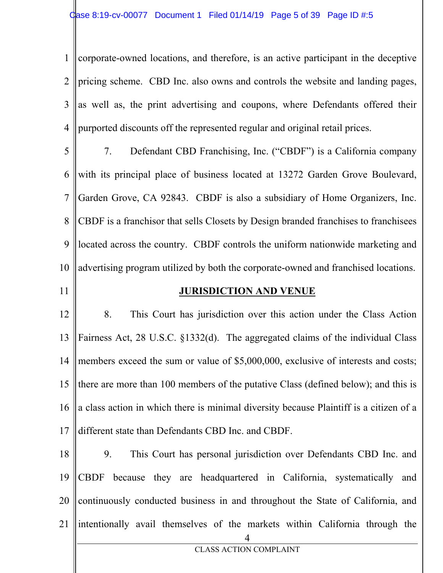1 2 3 4 corporate-owned locations, and therefore, is an active participant in the deceptive pricing scheme. CBD Inc. also owns and controls the website and landing pages, as well as, the print advertising and coupons, where Defendants offered their purported discounts off the represented regular and original retail prices.

- 5 6 7 8 9 10 7. Defendant CBD Franchising, Inc. ("CBDF") is a California company with its principal place of business located at 13272 Garden Grove Boulevard, Garden Grove, CA 92843. CBDF is also a subsidiary of Home Organizers, Inc. CBDF is a franchisor that sells Closets by Design branded franchises to franchisees located across the country. CBDF controls the uniform nationwide marketing and advertising program utilized by both the corporate-owned and franchised locations.
- 11

#### **JURISDICTION AND VENUE**

12 13 14 15 16 17 8. This Court has jurisdiction over this action under the Class Action Fairness Act, 28 U.S.C. §1332(d). The aggregated claims of the individual Class members exceed the sum or value of \$5,000,000, exclusive of interests and costs; there are more than 100 members of the putative Class (defined below); and this is a class action in which there is minimal diversity because Plaintiff is a citizen of a different state than Defendants CBD Inc. and CBDF.

4 18 19 20 21 9. This Court has personal jurisdiction over Defendants CBD Inc. and CBDF because they are headquartered in California, systematically and continuously conducted business in and throughout the State of California, and intentionally avail themselves of the markets within California through the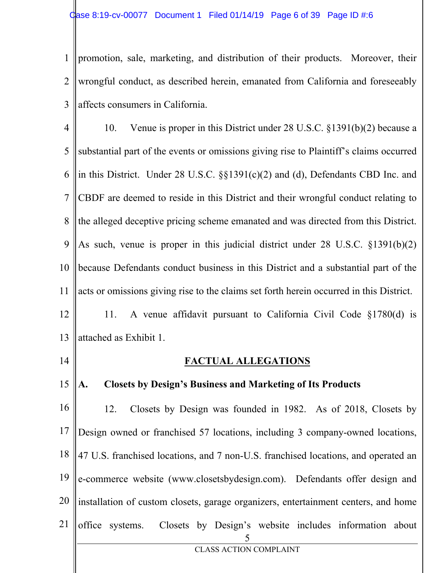1 2 3 promotion, sale, marketing, and distribution of their products. Moreover, their wrongful conduct, as described herein, emanated from California and foreseeably affects consumers in California.

4 5 6 7 8 9 10 11 12 13 10. Venue is proper in this District under 28 U.S.C. §1391(b)(2) because a substantial part of the events or omissions giving rise to Plaintiff's claims occurred in this District. Under 28 U.S.C. §§1391(c)(2) and (d), Defendants CBD Inc. and CBDF are deemed to reside in this District and their wrongful conduct relating to the alleged deceptive pricing scheme emanated and was directed from this District. As such, venue is proper in this judicial district under 28 U.S.C. §1391(b)(2) because Defendants conduct business in this District and a substantial part of the acts or omissions giving rise to the claims set forth herein occurred in this District. 11. A venue affidavit pursuant to California Civil Code §1780(d) is attached as Exhibit 1.

14

#### **FACTUAL ALLEGATIONS**

#### 15 **A. Closets by Design's Business and Marketing of Its Products**

5 CLASS ACTION COMPLAINT 16 17 18 19 20 21 12. Closets by Design was founded in 1982. As of 2018, Closets by Design owned or franchised 57 locations, including 3 company-owned locations, 47 U.S. franchised locations, and 7 non-U.S. franchised locations, and operated an e-commerce website (www.closetsbydesign.com). Defendants offer design and installation of custom closets, garage organizers, entertainment centers, and home office systems. Closets by Design's website includes information about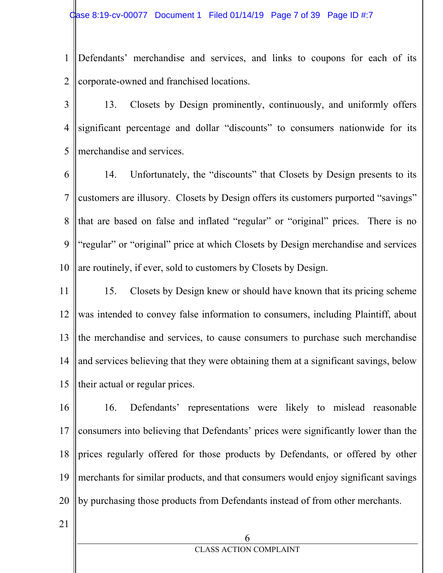- 1 2 Defendants' merchandise and services, and links to coupons for each of its corporate-owned and franchised locations.
- 3 4 5 13. Closets by Design prominently, continuously, and uniformly offers significant percentage and dollar "discounts" to consumers nationwide for its merchandise and services.
- 6 7 8 9 10 14. Unfortunately, the "discounts" that Closets by Design presents to its customers are illusory. Closets by Design offers its customers purported "savings" that are based on false and inflated "regular" or "original" prices. There is no "regular" or "original" price at which Closets by Design merchandise and services are routinely, if ever, sold to customers by Closets by Design.
- 11 12 13 14 15 15. Closets by Design knew or should have known that its pricing scheme was intended to convey false information to consumers, including Plaintiff, about the merchandise and services, to cause consumers to purchase such merchandise and services believing that they were obtaining them at a significant savings, below their actual or regular prices.
- 16 17 18 19 20 16. Defendants' representations were likely to mislead reasonable consumers into believing that Defendants' prices were significantly lower than the prices regularly offered for those products by Defendants, or offered by other merchants for similar products, and that consumers would enjoy significant savings by purchasing those products from Defendants instead of from other merchants.
- 21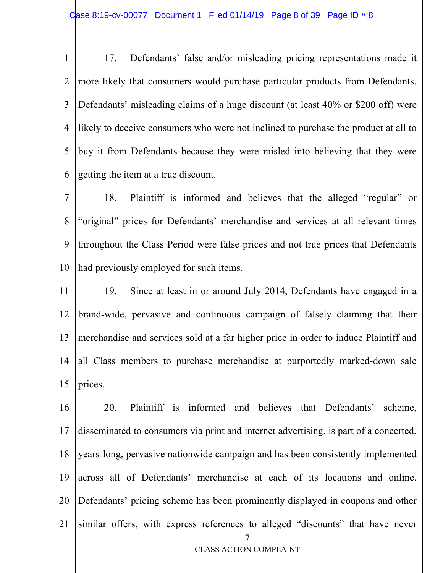1 2 3 4 5 6 17. Defendants' false and/or misleading pricing representations made it more likely that consumers would purchase particular products from Defendants. Defendants' misleading claims of a huge discount (at least 40% or \$200 off) were likely to deceive consumers who were not inclined to purchase the product at all to buy it from Defendants because they were misled into believing that they were getting the item at a true discount.

7 8 9 10 18. Plaintiff is informed and believes that the alleged "regular" or "original" prices for Defendants' merchandise and services at all relevant times throughout the Class Period were false prices and not true prices that Defendants had previously employed for such items.

11 12 13 14 15 19. Since at least in or around July 2014, Defendants have engaged in a brand-wide, pervasive and continuous campaign of falsely claiming that their merchandise and services sold at a far higher price in order to induce Plaintiff and all Class members to purchase merchandise at purportedly marked-down sale prices.

7 CLASS ACTION COMPLAINT 16 17 18 19 20 21 20. Plaintiff is informed and believes that Defendants' scheme, disseminated to consumers via print and internet advertising, is part of a concerted, years-long, pervasive nationwide campaign and has been consistently implemented across all of Defendants' merchandise at each of its locations and online. Defendants' pricing scheme has been prominently displayed in coupons and other similar offers, with express references to alleged "discounts" that have never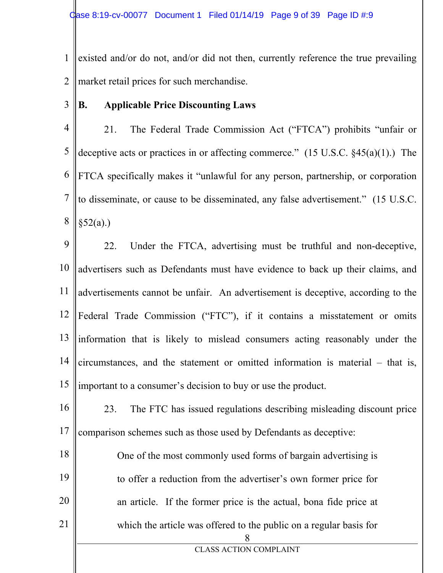1 2 existed and/or do not, and/or did not then, currently reference the true prevailing market retail prices for such merchandise.

3 **B. Applicable Price Discounting Laws** 

4 5 6 7 8 21. The Federal Trade Commission Act ("FTCA") prohibits "unfair or deceptive acts or practices in or affecting commerce." (15 U.S.C. §45(a)(1).) The FTCA specifically makes it "unlawful for any person, partnership, or corporation to disseminate, or cause to be disseminated, any false advertisement." (15 U.S.C.  $§52(a).)$ 

9 10 11 12 13 14 15 22. Under the FTCA, advertising must be truthful and non-deceptive, advertisers such as Defendants must have evidence to back up their claims, and advertisements cannot be unfair. An advertisement is deceptive, according to the Federal Trade Commission ("FTC"), if it contains a misstatement or omits information that is likely to mislead consumers acting reasonably under the  $circumstances$ , and the statement or omitted information is material  $-$  that is, important to a consumer's decision to buy or use the product.

16 17 23. The FTC has issued regulations describing misleading discount price comparison schemes such as those used by Defendants as deceptive:

8 18 19 20 21 One of the most commonly used forms of bargain advertising is to offer a reduction from the advertiser's own former price for an article. If the former price is the actual, bona fide price at which the article was offered to the public on a regular basis for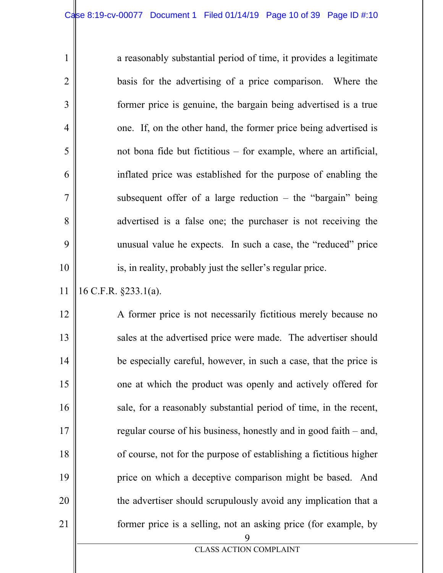| a reasonably substantial period of time, it provides a legitimate |
|-------------------------------------------------------------------|
| basis for the advertising of a price comparison. Where the        |
| former price is genuine, the bargain being advertised is a true   |
| one. If, on the other hand, the former price being advertised is  |
| not bona fide but fictitious – for example, where an artificial,  |
| inflated price was established for the purpose of enabling the    |
| subsequent offer of a large reduction $-$ the "bargain" being     |
| advertised is a false one; the purchaser is not receiving the     |
| unusual value he expects. In such a case, the "reduced" price     |
| is, in reality, probably just the seller's regular price.         |
|                                                                   |

11 16 C.F.R. §233.1(a).

1

2

3

4

5

6

7

8

9

10

9 12 13 14 15 16 17 18 19 20 21 A former price is not necessarily fictitious merely because no sales at the advertised price were made. The advertiser should be especially careful, however, in such a case, that the price is one at which the product was openly and actively offered for sale, for a reasonably substantial period of time, in the recent, regular course of his business, honestly and in good faith – and, of course, not for the purpose of establishing a fictitious higher price on which a deceptive comparison might be based. And the advertiser should scrupulously avoid any implication that a former price is a selling, not an asking price (for example, by

CLASS ACTION COMPLAINT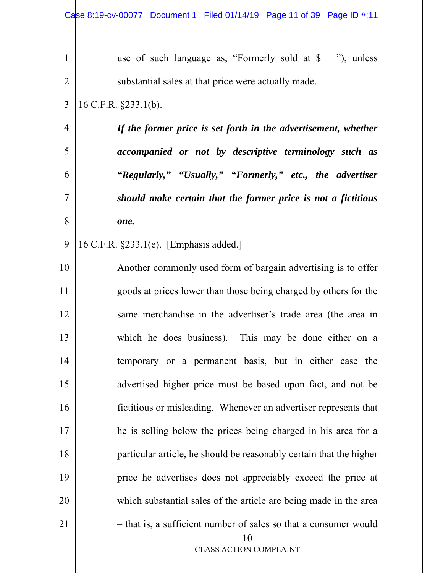| $\mathbf{1}$    | use of such language as, "Formerly sold at \$___"), unless             |
|-----------------|------------------------------------------------------------------------|
| $\overline{2}$  | substantial sales at that price were actually made.                    |
| 3               | 16 C.F.R. §233.1(b).                                                   |
| $\overline{4}$  | If the former price is set forth in the advertisement, whether         |
| 5               | accompanied or not by descriptive terminology such as                  |
| 6               | "Regularly," "Usually," "Formerly," etc., the advertiser               |
| $\overline{7}$  | should make certain that the former price is not a fictitious          |
| 8               | one.                                                                   |
| 9               | 16 C.F.R. §233.1(e). [Emphasis added.]                                 |
| 10              | Another commonly used form of bargain advertising is to offer          |
| 11              | goods at prices lower than those being charged by others for the       |
| 12              | same merchandise in the advertiser's trade area (the area in           |
| 13              | which he does business). This may be done either on a                  |
| 14              | temporary or a permanent basis, but in either case the                 |
| 15              | advertised higher price must be based upon fact, and not be            |
| 16              | fictitious or misleading. Whenever an advertiser represents that       |
| 17              | he is selling below the prices being charged in his area for a         |
| 18              | particular article, he should be reasonably certain that the higher    |
| 19              | price he advertises does not appreciably exceed the price at           |
| 20              | which substantial sales of the article are being made in the area      |
| $\overline{21}$ | - that is, a sufficient number of sales so that a consumer would<br>10 |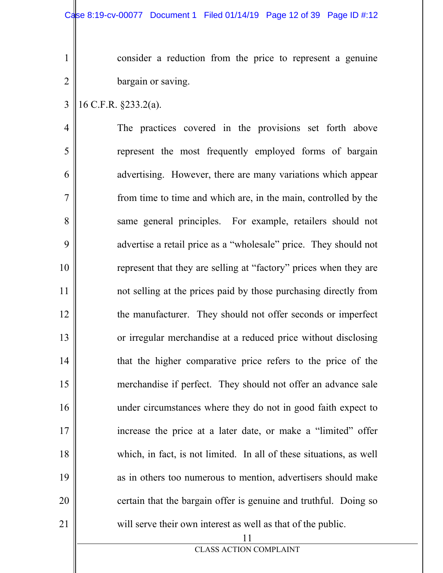consider a reduction from the price to represent a genuine bargain or saving.

3 16 C.F.R. §233.2(a).

1

2

4

5

6

7

8

9

10

11

12

13

14

15

16

17

18

19

20

21

The practices covered in the provisions set forth above represent the most frequently employed forms of bargain advertising. However, there are many variations which appear from time to time and which are, in the main, controlled by the same general principles. For example, retailers should not advertise a retail price as a "wholesale" price. They should not represent that they are selling at "factory" prices when they are not selling at the prices paid by those purchasing directly from the manufacturer. They should not offer seconds or imperfect or irregular merchandise at a reduced price without disclosing that the higher comparative price refers to the price of the merchandise if perfect. They should not offer an advance sale under circumstances where they do not in good faith expect to increase the price at a later date, or make a "limited" offer which, in fact, is not limited. In all of these situations, as well as in others too numerous to mention, advertisers should make certain that the bargain offer is genuine and truthful. Doing so will serve their own interest as well as that of the public.

CLASS ACTION COMPLAINT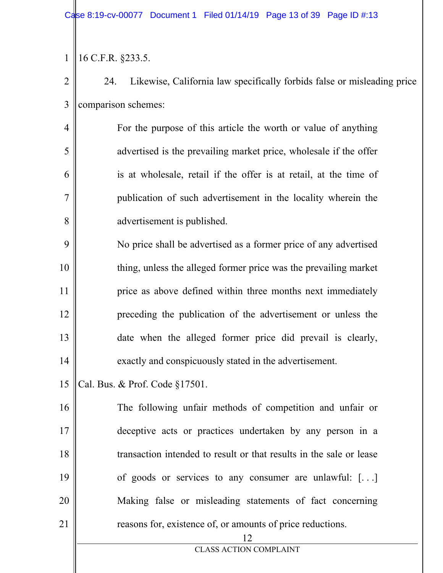1 16 C.F.R. §233.5.

4

5

6

7

8

2 3 24. Likewise, California law specifically forbids false or misleading price comparison schemes:

For the purpose of this article the worth or value of anything advertised is the prevailing market price, wholesale if the offer is at wholesale, retail if the offer is at retail, at the time of publication of such advertisement in the locality wherein the advertisement is published.

9 10 11 12 13 14 No price shall be advertised as a former price of any advertised thing, unless the alleged former price was the prevailing market price as above defined within three months next immediately preceding the publication of the advertisement or unless the date when the alleged former price did prevail is clearly, exactly and conspicuously stated in the advertisement.

15 Cal. Bus. & Prof. Code §17501.

16 17 18 19 20 21 The following unfair methods of competition and unfair or deceptive acts or practices undertaken by any person in a transaction intended to result or that results in the sale or lease of goods or services to any consumer are unlawful: [. . .] Making false or misleading statements of fact concerning reasons for, existence of, or amounts of price reductions.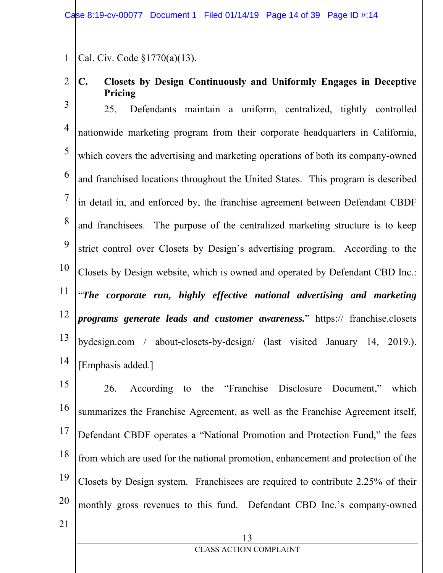Case 8:19-cv-00077 Document 1 Filed 01/14/19 Page 14 of 39 Page ID #:14

1 Cal. Civ. Code §1770(a)(13).

2

21

**C. Closets by Design Continuously and Uniformly Engages in Deceptive Pricing** 

3 4 5 6 7 8 9 10 11 12 13 14 25. Defendants maintain a uniform, centralized, tightly controlled nationwide marketing program from their corporate headquarters in California, which covers the advertising and marketing operations of both its company-owned and franchised locations throughout the United States. This program is described in detail in, and enforced by, the franchise agreement between Defendant CBDF and franchisees. The purpose of the centralized marketing structure is to keep strict control over Closets by Design's advertising program. According to the Closets by Design website, which is owned and operated by Defendant CBD Inc.: "*The corporate run, highly effective national advertising and marketing programs generate leads and customer awareness.*" https:// franchise.closets bydesign.com / about-closets-by-design/ (last visited January 14, 2019.). [Emphasis added.]

15 16 17 18 19 20 26. According to the "Franchise Disclosure Document," which summarizes the Franchise Agreement, as well as the Franchise Agreement itself, Defendant CBDF operates a "National Promotion and Protection Fund," the fees from which are used for the national promotion, enhancement and protection of the Closets by Design system. Franchisees are required to contribute 2.25% of their monthly gross revenues to this fund. Defendant CBD Inc.'s company-owned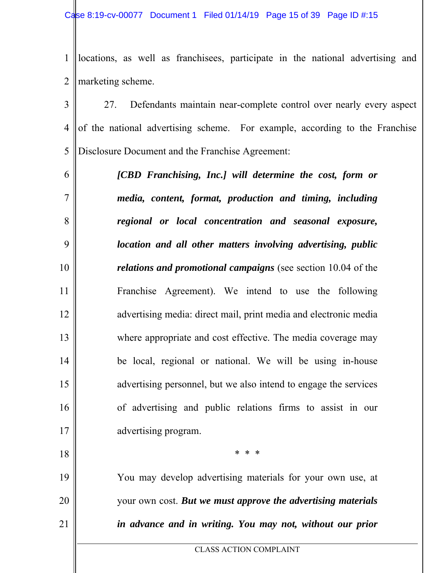1 2 locations, as well as franchisees, participate in the national advertising and marketing scheme.

3 4 5 27. Defendants maintain near-complete control over nearly every aspect of the national advertising scheme. For example, according to the Franchise Disclosure Document and the Franchise Agreement:

6

7

8

9

10

11

12

13

14

15

16

17

18

19

20

21

*[CBD Franchising, Inc.] will determine the cost, form or media, content, format, production and timing, including regional or local concentration and seasonal exposure, location and all other matters involving advertising, public relations and promotional campaigns* (see section 10.04 of the Franchise Agreement). We intend to use the following advertising media: direct mail, print media and electronic media where appropriate and cost effective. The media coverage may be local, regional or national. We will be using in-house advertising personnel, but we also intend to engage the services of advertising and public relations firms to assist in our advertising program.

You may develop advertising materials for your own use, at your own cost. *But we must approve the advertising materials in advance and in writing. You may not, without our prior* 

CLASS ACTION COMPLAINT

\* \* \*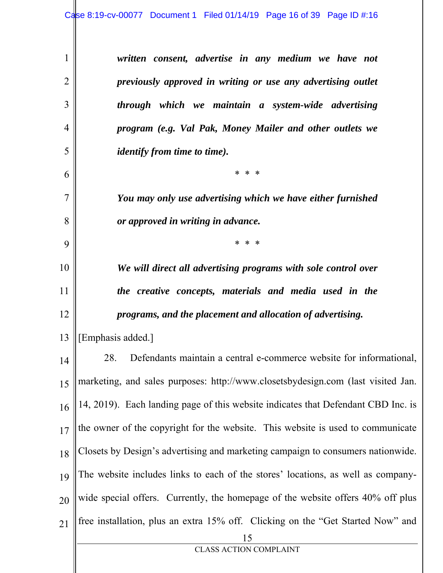*written consent, advertise in any medium we have not previously approved in writing or use any advertising outlet through which we maintain a system-wide advertising program (e.g. Val Pak, Money Mailer and other outlets we identify from time to time).*

\* \* \*

*You may only use advertising which we have either furnished or approved in writing in advance.* 

\* \* \*

*We will direct all advertising programs with sole control over the creative concepts, materials and media used in the programs, and the placement and allocation of advertising.* 

13 [Emphasis added.]

1

2

3

4

5

6

7

8

9

10

11

12

15 14 15 16 17 18 19 20 21 28. Defendants maintain a central e-commerce website for informational, marketing, and sales purposes: http://www.closetsbydesign.com (last visited Jan. 14, 2019). Each landing page of this website indicates that Defendant CBD Inc. is the owner of the copyright for the website. This website is used to communicate Closets by Design's advertising and marketing campaign to consumers nationwide. The website includes links to each of the stores' locations, as well as companywide special offers. Currently, the homepage of the website offers 40% off plus free installation, plus an extra 15% off. Clicking on the "Get Started Now" and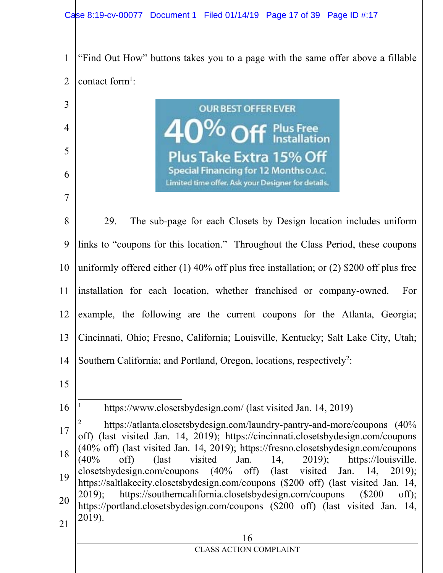3

4

5

6

7



**OUR BEST OFFER EVER Plus Take Extra 15% (** Special Financing for 12 Months O.A.C. Limited time offer. Ask your Designer for details.

8 9 10 11 12 13 14 15 16 17 18 19 20 21 29. The sub-page for each Closets by Design location includes uniform links to "coupons for this location." Throughout the Class Period, these coupons uniformly offered either (1) 40% off plus free installation; or (2) \$200 off plus free installation for each location, whether franchised or company-owned. For example, the following are the current coupons for the Atlanta, Georgia; Cincinnati, Ohio; Fresno, California; Louisville, Kentucky; Salt Lake City, Utah; Southern California; and Portland, Oregon, locations, respectively<sup>2</sup>:  $\overline{a}$ 1 https://www.closetsbydesign.com/ (last visited Jan. 14, 2019) 2 https://atlanta.closetsbydesign.com/laundry-pantry-and-more/coupons (40% off) (last visited Jan. 14, 2019); https://cincinnati.closetsbydesign.com/coupons (40% off) (last visited Jan. 14, 2019); https://fresno.closetsbydesign.com/coupons  $(40\% \text{ off})$  (last visited Jan. 14, 2019); https://louisville. closetsbydesign.com/coupons (40% off) (last visited Jan. 14, 2019); https://saltlakecity.closetsbydesign.com/coupons (\$200 off) (last visited Jan. 14, 2019); https://southerncalifornia.closetsbydesign.com/coupons (\$200 off); https://portland.closetsbydesign.com/coupons (\$200 off) (last visited Jan. 14, 2019).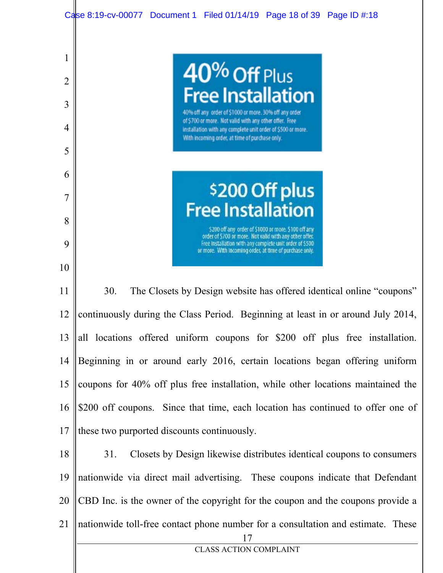

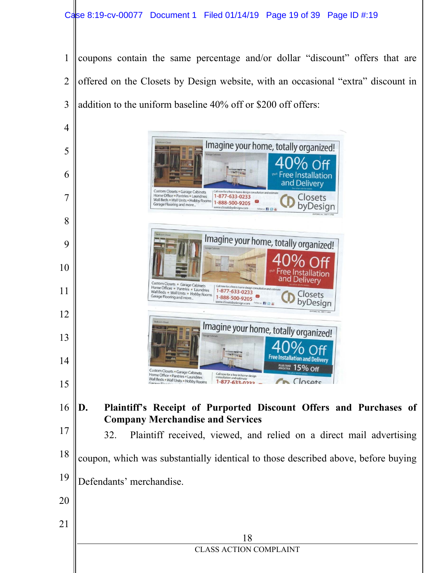coupons contain the same percentage and/or dollar "discount" offers that are offered on the Closets by Design website, with an occasional "extra" discount in addition to the uniform baseline 40% off or \$200 off offers:



- Defendants' merchandise.
-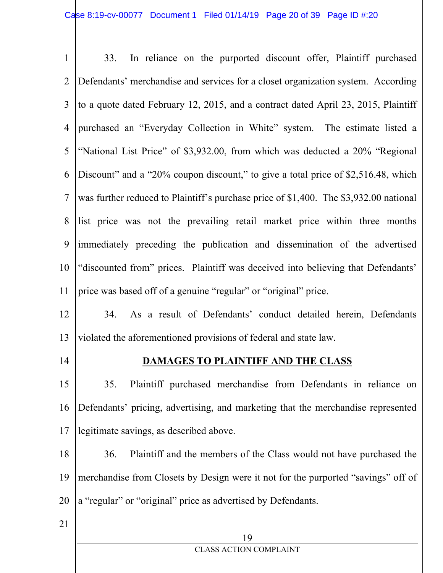| $\mathbf{1}$    | In reliance on the purported discount offer, Plaintiff purchased<br>33.               |
|-----------------|---------------------------------------------------------------------------------------|
| $\overline{2}$  | Defendants' merchandise and services for a closet organization system. According      |
| 3               | to a quote dated February 12, 2015, and a contract dated April 23, 2015, Plaintiff    |
| $\overline{4}$  | purchased an "Everyday Collection in White" system. The estimate listed a             |
| 5               | "National List Price" of \$3,932.00, from which was deducted a 20% "Regional          |
| 6               | Discount" and a "20% coupon discount," to give a total price of \$2,516.48, which     |
| $\tau$          | was further reduced to Plaintiff's purchase price of \$1,400. The \$3,932.00 national |
| 8               | list price was not the prevailing retail market price within three months             |
| 9               | immediately preceding the publication and dissemination of the advertised             |
| 10              | "discounted from" prices. Plaintiff was deceived into believing that Defendants'      |
| 11              | price was based off of a genuine "regular" or "original" price.                       |
| 12              | 34. As a result of Defendants' conduct detailed herein, Defendants                    |
| 13              | violated the aforementioned provisions of federal and state law.                      |
| 14              | <b>DAMAGES TO PLAINTIFF AND THE CLASS</b>                                             |
| 15              | Plaintiff purchased merchandise from Defendants in reliance on<br>35.                 |
| 16              | Defendants' pricing, advertising, and marketing that the merchandise represented      |
| 17              | legitimate savings, as described above.                                               |
| 18              | Plaintiff and the members of the Class would not have purchased the<br>36.            |
| 19              | merchandise from Closets by Design were it not for the purported "savings" off of     |
| 20              | a "regular" or "original" price as advertised by Defendants.                          |
| $\overline{21}$ |                                                                                       |
|                 | 19<br><b>CLASS ACTION COMPLAINT</b>                                                   |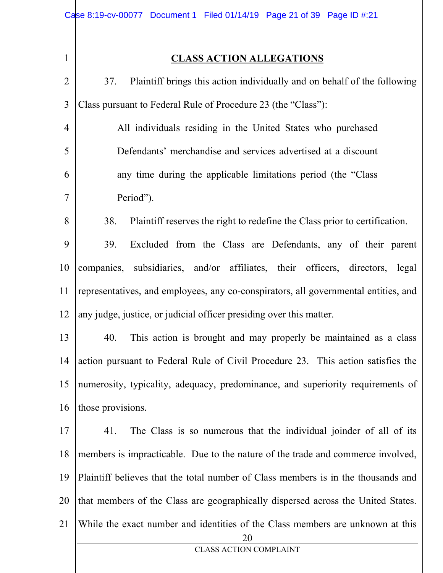$\frac{1}{\sqrt{2}}$ 

## **CLASS ACTION ALLEGATIONS**

| $\overline{2}$ | Plaintiff brings this action individually and on behalf of the following<br>37.      |
|----------------|--------------------------------------------------------------------------------------|
| 3              | Class pursuant to Federal Rule of Procedure 23 (the "Class"):                        |
| $\overline{4}$ | All individuals residing in the United States who purchased                          |
| 5              | Defendants' merchandise and services advertised at a discount                        |
| 6              | any time during the applicable limitations period (the "Class"                       |
| $\overline{7}$ | Period").                                                                            |
| 8              | 38.<br>Plaintiff reserves the right to redefine the Class prior to certification.    |
| 9              | 39.<br>Excluded from the Class are Defendants, any of their parent                   |
| 10             | companies, subsidiaries, and/or affiliates, their officers, directors, legal         |
| 11             | representatives, and employees, any co-conspirators, all governmental entities, and  |
| 12             | any judge, justice, or judicial officer presiding over this matter.                  |
| 13             | 40.<br>This action is brought and may properly be maintained as a class              |
| 14             | action pursuant to Federal Rule of Civil Procedure 23. This action satisfies the     |
| 15             | numerosity, typicality, adequacy, predominance, and superiority requirements of      |
| 16             | those provisions.                                                                    |
| 17             | The Class is so numerous that the individual joinder of all of its<br>41.            |
| 18             | members is impracticable. Due to the nature of the trade and commerce involved,      |
| 19             | Plaintiff believes that the total number of Class members is in the thousands and    |
| 20             | that members of the Class are geographically dispersed across the United States.     |
| 21             | While the exact number and identities of the Class members are unknown at this<br>20 |
|                | <b>CLASS ACTION COMPLAINT</b>                                                        |
|                |                                                                                      |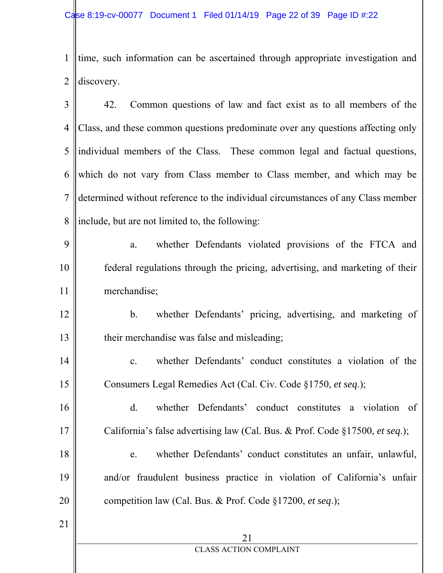1 2 time, such information can be ascertained through appropriate investigation and discovery.

3 4 5 6 7 8 42. Common questions of law and fact exist as to all members of the Class, and these common questions predominate over any questions affecting only individual members of the Class. These common legal and factual questions, which do not vary from Class member to Class member, and which may be determined without reference to the individual circumstances of any Class member include, but are not limited to, the following:

9 10 11 a. whether Defendants violated provisions of the FTCA and federal regulations through the pricing, advertising, and marketing of their merchandise;

12 13 b. whether Defendants' pricing, advertising, and marketing of their merchandise was false and misleading;

14 15 c. whether Defendants' conduct constitutes a violation of the Consumers Legal Remedies Act (Cal. Civ. Code §1750, *et seq*.);

16 17 d. whether Defendants' conduct constitutes a violation of California's false advertising law (Cal. Bus. & Prof. Code §17500, *et seq*.);

18 19 20 e. whether Defendants' conduct constitutes an unfair, unlawful, and/or fraudulent business practice in violation of California's unfair competition law (Cal. Bus. & Prof. Code §17200, *et seq*.);

21

21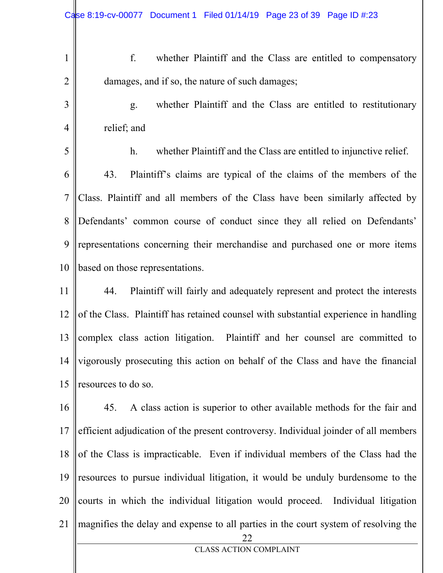2

3

4

1

f. whether Plaintiff and the Class are entitled to compensatory damages, and if so, the nature of such damages;

g. whether Plaintiff and the Class are entitled to restitutionary relief; and

5 6 7 8 9 10 h. whether Plaintiff and the Class are entitled to injunctive relief. 43. Plaintiff's claims are typical of the claims of the members of the Class. Plaintiff and all members of the Class have been similarly affected by Defendants' common course of conduct since they all relied on Defendants' representations concerning their merchandise and purchased one or more items based on those representations.

11 12 13 14 15 44. Plaintiff will fairly and adequately represent and protect the interests of the Class. Plaintiff has retained counsel with substantial experience in handling complex class action litigation. Plaintiff and her counsel are committed to vigorously prosecuting this action on behalf of the Class and have the financial resources to do so.

22 CLASS ACTION COMPLAINT 16 17 18 19 20 21 45. A class action is superior to other available methods for the fair and efficient adjudication of the present controversy. Individual joinder of all members of the Class is impracticable. Even if individual members of the Class had the resources to pursue individual litigation, it would be unduly burdensome to the courts in which the individual litigation would proceed. Individual litigation magnifies the delay and expense to all parties in the court system of resolving the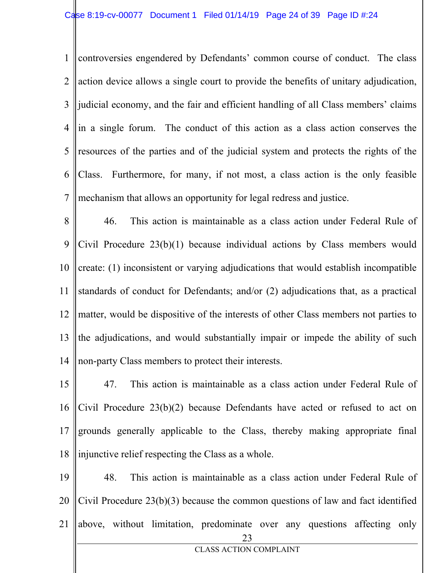1 2 3 4 5 6 7 controversies engendered by Defendants' common course of conduct. The class action device allows a single court to provide the benefits of unitary adjudication, judicial economy, and the fair and efficient handling of all Class members' claims in a single forum. The conduct of this action as a class action conserves the resources of the parties and of the judicial system and protects the rights of the Class. Furthermore, for many, if not most, a class action is the only feasible mechanism that allows an opportunity for legal redress and justice.

8 9 10 11 12 13 14 46. This action is maintainable as a class action under Federal Rule of Civil Procedure 23(b)(1) because individual actions by Class members would create: (1) inconsistent or varying adjudications that would establish incompatible standards of conduct for Defendants; and/or (2) adjudications that, as a practical matter, would be dispositive of the interests of other Class members not parties to the adjudications, and would substantially impair or impede the ability of such non-party Class members to protect their interests.

15 16 17 18 47. This action is maintainable as a class action under Federal Rule of Civil Procedure 23(b)(2) because Defendants have acted or refused to act on grounds generally applicable to the Class, thereby making appropriate final injunctive relief respecting the Class as a whole.

23 CLASS ACTION COMPLAINT 19 20 21 48. This action is maintainable as a class action under Federal Rule of Civil Procedure 23(b)(3) because the common questions of law and fact identified above, without limitation, predominate over any questions affecting only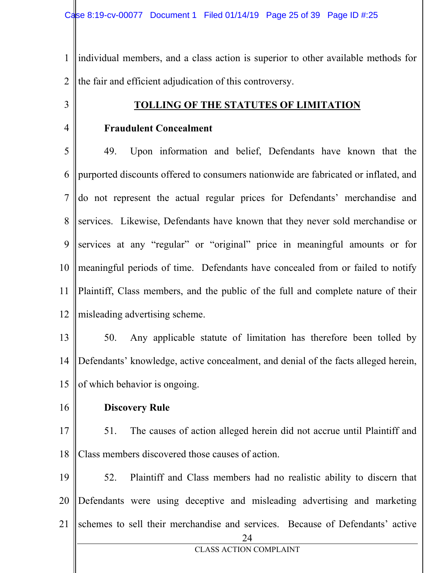1 2 individual members, and a class action is superior to other available methods for the fair and efficient adjudication of this controversy.

### 3

4

#### **TOLLING OF THE STATUTES OF LIMITATION**

#### **Fraudulent Concealment**

5 6 7 8 9 10 11 12 49. Upon information and belief, Defendants have known that the purported discounts offered to consumers nationwide are fabricated or inflated, and do not represent the actual regular prices for Defendants' merchandise and services. Likewise, Defendants have known that they never sold merchandise or services at any "regular" or "original" price in meaningful amounts or for meaningful periods of time. Defendants have concealed from or failed to notify Plaintiff, Class members, and the public of the full and complete nature of their misleading advertising scheme.

13 14 15 50. Any applicable statute of limitation has therefore been tolled by Defendants' knowledge, active concealment, and denial of the facts alleged herein, of which behavior is ongoing.

16

#### **Discovery Rule**

17 18 51. The causes of action alleged herein did not accrue until Plaintiff and Class members discovered those causes of action.

24 CLASS ACTION COMPLAINT 19 20 21 52. Plaintiff and Class members had no realistic ability to discern that Defendants were using deceptive and misleading advertising and marketing schemes to sell their merchandise and services. Because of Defendants' active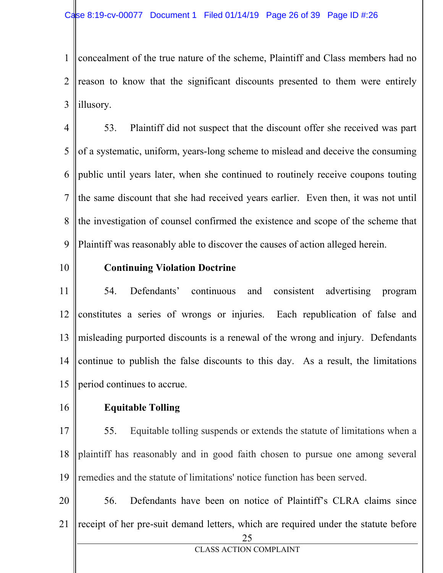1 2 3 concealment of the true nature of the scheme, Plaintiff and Class members had no reason to know that the significant discounts presented to them were entirely illusory.

4 5 6 7 8 9 53. Plaintiff did not suspect that the discount offer she received was part of a systematic, uniform, years-long scheme to mislead and deceive the consuming public until years later, when she continued to routinely receive coupons touting the same discount that she had received years earlier. Even then, it was not until the investigation of counsel confirmed the existence and scope of the scheme that Plaintiff was reasonably able to discover the causes of action alleged herein.

10

#### **Continuing Violation Doctrine**

11 12 13 14 15 54. Defendants' continuous and consistent advertising program constitutes a series of wrongs or injuries. Each republication of false and misleading purported discounts is a renewal of the wrong and injury. Defendants continue to publish the false discounts to this day. As a result, the limitations period continues to accrue.

16

#### **Equitable Tolling**

17 18 19 55. Equitable tolling suspends or extends the statute of limitations when a plaintiff has reasonably and in good faith chosen to pursue one among several remedies and the statute of limitations' notice function has been served.

25 20 21 56. Defendants have been on notice of Plaintiff's CLRA claims since receipt of her pre-suit demand letters, which are required under the statute before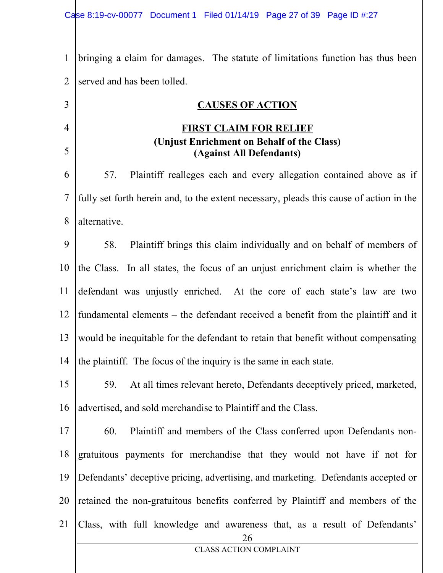3

4

5

1 2 bringing a claim for damages. The statute of limitations function has thus been served and has been tolled.

#### **CAUSES OF ACTION**

#### **FIRST CLAIM FOR RELIEF (Unjust Enrichment on Behalf of the Class) (Against All Defendants)**

6 7 8 57. Plaintiff realleges each and every allegation contained above as if fully set forth herein and, to the extent necessary, pleads this cause of action in the alternative.

9 10 11 12 13 14 58. Plaintiff brings this claim individually and on behalf of members of the Class. In all states, the focus of an unjust enrichment claim is whether the defendant was unjustly enriched. At the core of each state's law are two fundamental elements – the defendant received a benefit from the plaintiff and it would be inequitable for the defendant to retain that benefit without compensating the plaintiff. The focus of the inquiry is the same in each state.

15 16 59. At all times relevant hereto, Defendants deceptively priced, marketed, advertised, and sold merchandise to Plaintiff and the Class.

26 CLASS ACTION COMPLAINT 17 18 19 20 21 60. Plaintiff and members of the Class conferred upon Defendants nongratuitous payments for merchandise that they would not have if not for Defendants' deceptive pricing, advertising, and marketing. Defendants accepted or retained the non-gratuitous benefits conferred by Plaintiff and members of the Class, with full knowledge and awareness that, as a result of Defendants'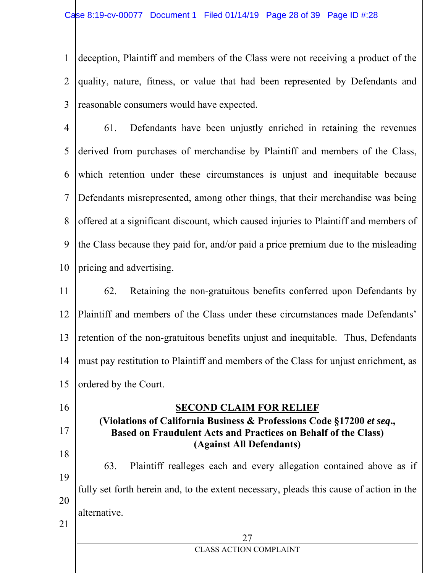1 2 3 deception, Plaintiff and members of the Class were not receiving a product of the quality, nature, fitness, or value that had been represented by Defendants and reasonable consumers would have expected.

4 5 6 7 8 9 10 61. Defendants have been unjustly enriched in retaining the revenues derived from purchases of merchandise by Plaintiff and members of the Class, which retention under these circumstances is unjust and inequitable because Defendants misrepresented, among other things, that their merchandise was being offered at a significant discount, which caused injuries to Plaintiff and members of the Class because they paid for, and/or paid a price premium due to the misleading pricing and advertising.

11 12 13 14 15 62. Retaining the non-gratuitous benefits conferred upon Defendants by Plaintiff and members of the Class under these circumstances made Defendants' retention of the non-gratuitous benefits unjust and inequitable. Thus, Defendants must pay restitution to Plaintiff and members of the Class for unjust enrichment, as ordered by the Court.

27 CLASS ACTION COMPLAINT 16 17 18 19 20 21 **SECOND CLAIM FOR RELIEF (Violations of California Business & Professions Code §17200** *et seq***., Based on Fraudulent Acts and Practices on Behalf of the Class) (Against All Defendants)**  63. Plaintiff realleges each and every allegation contained above as if fully set forth herein and, to the extent necessary, pleads this cause of action in the alternative.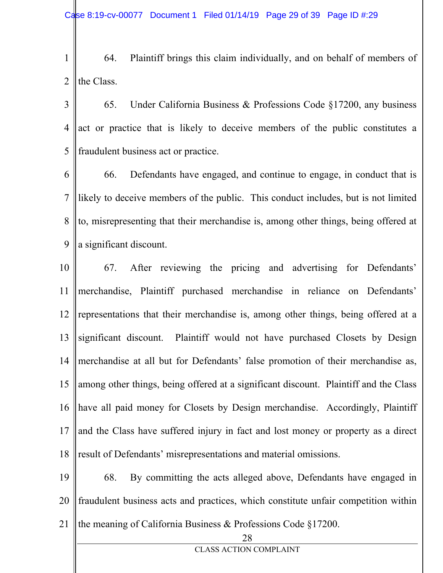- 1 2 64. Plaintiff brings this claim individually, and on behalf of members of the Class.
- 3 4 5 65. Under California Business & Professions Code §17200, any business act or practice that is likely to deceive members of the public constitutes a fraudulent business act or practice.
- 6 7 8 9 66. Defendants have engaged, and continue to engage, in conduct that is likely to deceive members of the public. This conduct includes, but is not limited to, misrepresenting that their merchandise is, among other things, being offered at a significant discount.
- 10 11 12 13 14 15 16 17 18 67. After reviewing the pricing and advertising for Defendants' merchandise, Plaintiff purchased merchandise in reliance on Defendants' representations that their merchandise is, among other things, being offered at a significant discount. Plaintiff would not have purchased Closets by Design merchandise at all but for Defendants' false promotion of their merchandise as, among other things, being offered at a significant discount. Plaintiff and the Class have all paid money for Closets by Design merchandise. Accordingly, Plaintiff and the Class have suffered injury in fact and lost money or property as a direct result of Defendants' misrepresentations and material omissions.
- 19 20 21 68. By committing the acts alleged above, Defendants have engaged in fraudulent business acts and practices, which constitute unfair competition within the meaning of California Business & Professions Code §17200.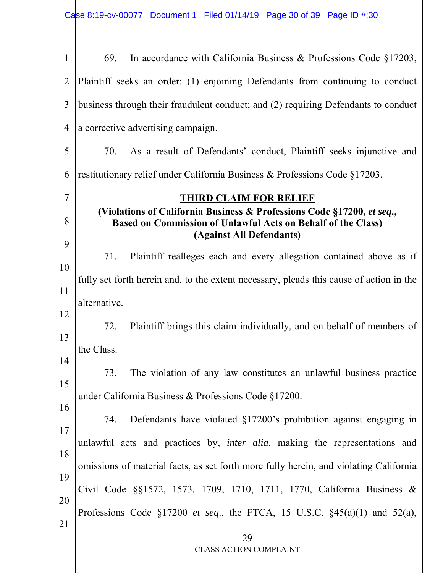| $\mathbf{1}$   | In accordance with California Business & Professions Code $\S17203$ ,<br>69.                                                                                       |  |  |
|----------------|--------------------------------------------------------------------------------------------------------------------------------------------------------------------|--|--|
| $\overline{2}$ | Plaintiff seeks an order: (1) enjoining Defendants from continuing to conduct                                                                                      |  |  |
| 3              | business through their fraudulent conduct; and (2) requiring Defendants to conduct                                                                                 |  |  |
| $\overline{4}$ | a corrective advertising campaign.                                                                                                                                 |  |  |
| 5              | As a result of Defendants' conduct, Plaintiff seeks injunctive and<br>70.                                                                                          |  |  |
| 6              | restitutionary relief under California Business & Professions Code §17203.                                                                                         |  |  |
| $\overline{7}$ | <b>THIRD CLAIM FOR RELIEF</b>                                                                                                                                      |  |  |
| 8              | (Violations of California Business & Professions Code §17200, et seq.,<br>Based on Commission of Unlawful Acts on Behalf of the Class)<br>(Against All Defendants) |  |  |
| 9              | Plaintiff realleges each and every allegation contained above as if<br>71.                                                                                         |  |  |
| 10             | fully set forth herein and, to the extent necessary, pleads this cause of action in the                                                                            |  |  |
| 11             |                                                                                                                                                                    |  |  |
| 12             | alternative.                                                                                                                                                       |  |  |
| 13             | Plaintiff brings this claim individually, and on behalf of members of<br>72.                                                                                       |  |  |
| 14             | the Class.                                                                                                                                                         |  |  |
| 15             | The violation of any law constitutes an unlawful business practice<br>73.                                                                                          |  |  |
| 16             | under California Business & Professions Code §17200.                                                                                                               |  |  |
| 17             | Defendants have violated §17200's prohibition against engaging in<br>74.                                                                                           |  |  |
| 18             | unlawful acts and practices by, <i>inter alia</i> , making the representations and                                                                                 |  |  |
|                | omissions of material facts, as set forth more fully herein, and violating California                                                                              |  |  |
| 19             | Civil Code §§1572, 1573, 1709, 1710, 1711, 1770, California Business &                                                                                             |  |  |
| 20             | Professions Code §17200 et seq., the FTCA, 15 U.S.C. $§45(a)(1)$ and $52(a)$ ,                                                                                     |  |  |
| 21             | 29                                                                                                                                                                 |  |  |
|                | <b>CLASS ACTION COMPLAINT</b>                                                                                                                                      |  |  |
|                |                                                                                                                                                                    |  |  |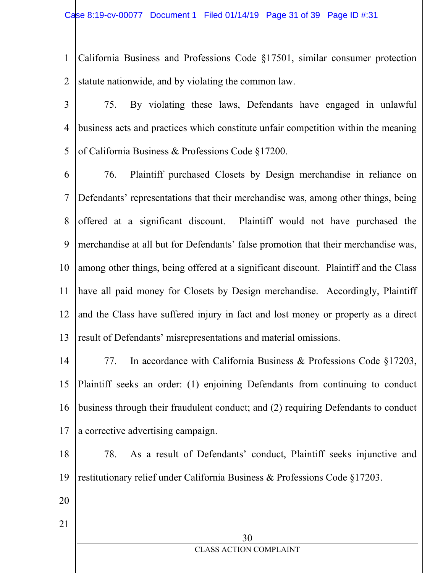1 2 California Business and Professions Code §17501, similar consumer protection statute nationwide, and by violating the common law.

3 4 5 75. By violating these laws, Defendants have engaged in unlawful business acts and practices which constitute unfair competition within the meaning of California Business & Professions Code §17200.

6 7 8 9 10 11 12 13 76. Plaintiff purchased Closets by Design merchandise in reliance on Defendants' representations that their merchandise was, among other things, being offered at a significant discount. Plaintiff would not have purchased the merchandise at all but for Defendants' false promotion that their merchandise was, among other things, being offered at a significant discount. Plaintiff and the Class have all paid money for Closets by Design merchandise. Accordingly, Plaintiff and the Class have suffered injury in fact and lost money or property as a direct result of Defendants' misrepresentations and material omissions.

- 14 15 16 17 77. In accordance with California Business & Professions Code §17203, Plaintiff seeks an order: (1) enjoining Defendants from continuing to conduct business through their fraudulent conduct; and (2) requiring Defendants to conduct a corrective advertising campaign.
- 18 19 78. As a result of Defendants' conduct, Plaintiff seeks injunctive and restitutionary relief under California Business & Professions Code §17203.
- 20 21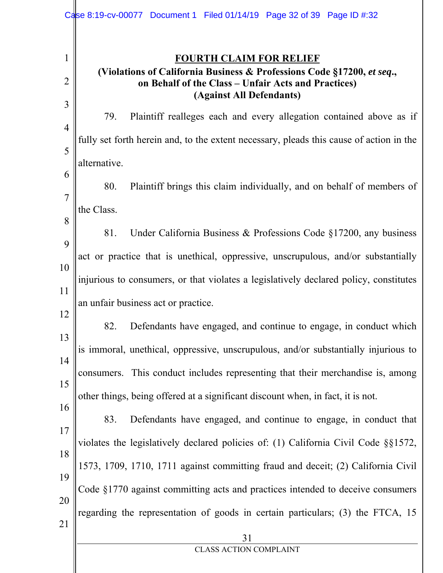|                     | Case 8:19-cv-00077 Document 1 Filed 01/14/19 Page 32 of 39 Page ID #:32                                                                                                                     |
|---------------------|---------------------------------------------------------------------------------------------------------------------------------------------------------------------------------------------|
| 1<br>$\overline{2}$ | <b>FOURTH CLAIM FOR RELIEF</b><br>(Violations of California Business & Professions Code §17200, et seq.,<br>on Behalf of the Class – Unfair Acts and Practices)<br>(Against All Defendants) |
| 3                   | 79.<br>Plaintiff realleges each and every allegation contained above as if                                                                                                                  |
| $\overline{4}$<br>5 | fully set forth herein and, to the extent necessary, pleads this cause of action in the                                                                                                     |
|                     | alternative.                                                                                                                                                                                |
| 6<br>$\overline{7}$ | 80.<br>Plaintiff brings this claim individually, and on behalf of members of                                                                                                                |
| 8                   | the Class.                                                                                                                                                                                  |
| 9                   | Under California Business & Professions Code $\S17200$ , any business<br>81.                                                                                                                |
| 10                  | act or practice that is unethical, oppressive, unscrupulous, and/or substantially                                                                                                           |
| 11                  | injurious to consumers, or that violates a legislatively declared policy, constitutes                                                                                                       |
| 12                  | an unfair business act or practice.                                                                                                                                                         |
| 13                  | 82.<br>Defendants have engaged, and continue to engage, in conduct which                                                                                                                    |
| 14                  | is immoral, unethical, oppressive, unscrupulous, and/or substantially injurious to                                                                                                          |
| 15                  | consumers. This conduct includes representing that their merchandise is, among                                                                                                              |
| 16                  | other things, being offered at a significant discount when, in fact, it is not.                                                                                                             |
| 17                  | Defendants have engaged, and continue to engage, in conduct that<br>83.                                                                                                                     |
| 18                  | violates the legislatively declared policies of: (1) California Civil Code §§1572,                                                                                                          |
| 19                  | 1573, 1709, 1710, 1711 against committing fraud and deceit; (2) California Civil                                                                                                            |
| 20                  | Code §1770 against committing acts and practices intended to deceive consumers                                                                                                              |
| 21                  | regarding the representation of goods in certain particulars; (3) the FTCA, 15                                                                                                              |
|                     | 31<br><b>CLASS ACTION COMPLAINT</b>                                                                                                                                                         |
|                     |                                                                                                                                                                                             |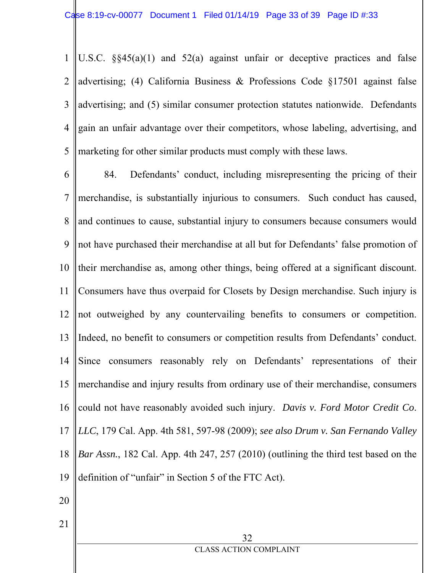1 2 3 4 5 U.S.C.  $\S$ §45(a)(1) and 52(a) against unfair or deceptive practices and false advertising; (4) California Business & Professions Code §17501 against false advertising; and (5) similar consumer protection statutes nationwide. Defendants gain an unfair advantage over their competitors, whose labeling, advertising, and marketing for other similar products must comply with these laws.

6 7 8 9 10 11 12 13 14 15 16 17 18 19 84. Defendants' conduct, including misrepresenting the pricing of their merchandise, is substantially injurious to consumers. Such conduct has caused, and continues to cause, substantial injury to consumers because consumers would not have purchased their merchandise at all but for Defendants' false promotion of their merchandise as, among other things, being offered at a significant discount. Consumers have thus overpaid for Closets by Design merchandise. Such injury is not outweighed by any countervailing benefits to consumers or competition. Indeed, no benefit to consumers or competition results from Defendants' conduct. Since consumers reasonably rely on Defendants' representations of their merchandise and injury results from ordinary use of their merchandise, consumers could not have reasonably avoided such injury. *Davis v. Ford Motor Credit Co*. *LLC*, 179 Cal. App. 4th 581, 597-98 (2009); *see also Drum v. San Fernando Valley Bar Assn.*, 182 Cal. App. 4th 247, 257 (2010) (outlining the third test based on the definition of "unfair" in Section 5 of the FTC Act).

20

21

32 CLASS ACTION COMPLAINT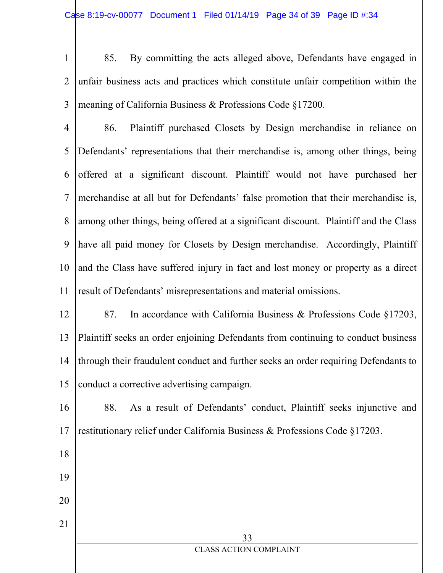1 2 3 85. By committing the acts alleged above, Defendants have engaged in unfair business acts and practices which constitute unfair competition within the meaning of California Business & Professions Code §17200.

4 5 6 7 8 9 10 11 86. Plaintiff purchased Closets by Design merchandise in reliance on Defendants' representations that their merchandise is, among other things, being offered at a significant discount. Plaintiff would not have purchased her merchandise at all but for Defendants' false promotion that their merchandise is, among other things, being offered at a significant discount. Plaintiff and the Class have all paid money for Closets by Design merchandise. Accordingly, Plaintiff and the Class have suffered injury in fact and lost money or property as a direct result of Defendants' misrepresentations and material omissions.

12 13 14 15 87. In accordance with California Business & Professions Code §17203, Plaintiff seeks an order enjoining Defendants from continuing to conduct business through their fraudulent conduct and further seeks an order requiring Defendants to conduct a corrective advertising campaign.

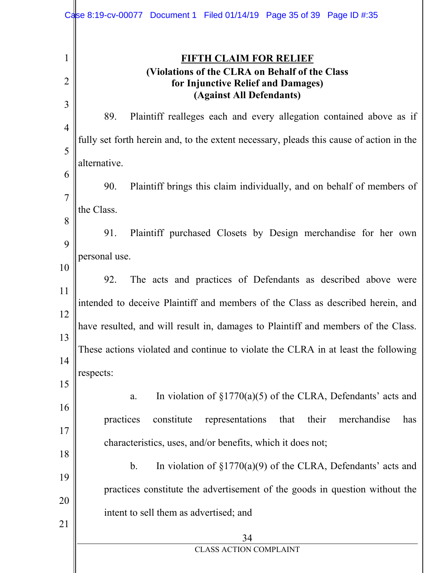|                     | Case 8:19-cv-00077 Document 1 Filed 01/14/19 Page 35 of 39 Page ID #:35                 |
|---------------------|-----------------------------------------------------------------------------------------|
| $\mathbf 1$         | <b>FIFTH CLAIM FOR RELIEF</b><br>(Violations of the CLRA on Behalf of the Class         |
| $\overline{2}$      | for Injunctive Relief and Damages)<br>(Against All Defendants)                          |
| 3                   | 89.<br>Plaintiff realleges each and every allegation contained above as if              |
| $\overline{4}$<br>5 | fully set forth herein and, to the extent necessary, pleads this cause of action in the |
| 6                   | alternative.                                                                            |
| $\overline{7}$      | Plaintiff brings this claim individually, and on behalf of members of<br>90.            |
| 8                   | the Class.                                                                              |
| 9                   | Plaintiff purchased Closets by Design merchandise for her own<br>91.                    |
| 10                  | personal use.                                                                           |
| 11                  | The acts and practices of Defendants as described above were<br>92.                     |
| 12                  | intended to deceive Plaintiff and members of the Class as described herein, and         |
| 13                  | have resulted, and will result in, damages to Plaintiff and members of the Class.       |
| 14                  | These actions violated and continue to violate the CLRA in at least the following       |
| 15                  | respects:                                                                               |
| 16                  | In violation of $\S1770(a)(5)$ of the CLRA, Defendants' acts and<br>a.                  |
| 17                  | practices<br>constitute<br>representations<br>their<br>merchandise<br>that<br>has       |
| 18                  | characteristics, uses, and/or benefits, which it does not;                              |
| 19                  | In violation of $\S1770(a)(9)$ of the CLRA, Defendants' acts and<br>$\mathbf b$ .       |
| 20                  | practices constitute the advertisement of the goods in question without the             |
| 21                  | intent to sell them as advertised; and                                                  |
|                     | 34<br><b>CLASS ACTION COMPLAINT</b>                                                     |
|                     |                                                                                         |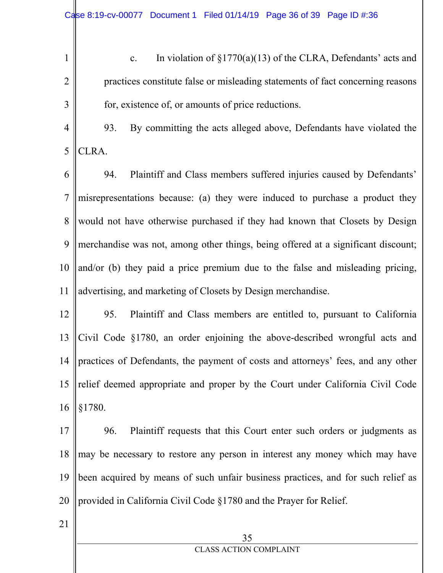c. In violation of  $\S1770(a)(13)$  of the CLRA, Defendants' acts and practices constitute false or misleading statements of fact concerning reasons for, existence of, or amounts of price reductions.

4 5 93. By committing the acts alleged above, Defendants have violated the CLRA.

6 7 8 9 10 11 94. Plaintiff and Class members suffered injuries caused by Defendants' misrepresentations because: (a) they were induced to purchase a product they would not have otherwise purchased if they had known that Closets by Design merchandise was not, among other things, being offered at a significant discount; and/or (b) they paid a price premium due to the false and misleading pricing, advertising, and marketing of Closets by Design merchandise.

12 13 14 15 16 95. Plaintiff and Class members are entitled to, pursuant to California Civil Code §1780, an order enjoining the above-described wrongful acts and practices of Defendants, the payment of costs and attorneys' fees, and any other relief deemed appropriate and proper by the Court under California Civil Code §1780.

17 18 19 20 96. Plaintiff requests that this Court enter such orders or judgments as may be necessary to restore any person in interest any money which may have been acquired by means of such unfair business practices, and for such relief as provided in California Civil Code §1780 and the Prayer for Relief.

21

1

2

3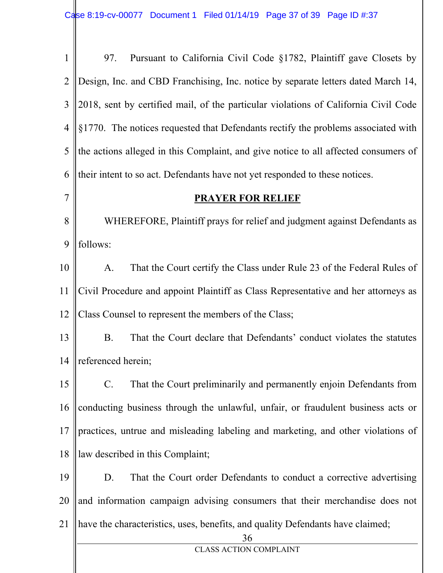36 CLASS ACTION COMPLAINT 1 2 3 4 5 6 7 8 9 10 11 12 13 14 15 16 17 18 19 20 21 97. Pursuant to California Civil Code §1782, Plaintiff gave Closets by Design, Inc. and CBD Franchising, Inc. notice by separate letters dated March 14, 2018, sent by certified mail, of the particular violations of California Civil Code §1770. The notices requested that Defendants rectify the problems associated with the actions alleged in this Complaint, and give notice to all affected consumers of their intent to so act. Defendants have not yet responded to these notices. **PRAYER FOR RELIEF**  WHEREFORE, Plaintiff prays for relief and judgment against Defendants as follows: A. That the Court certify the Class under Rule 23 of the Federal Rules of Civil Procedure and appoint Plaintiff as Class Representative and her attorneys as Class Counsel to represent the members of the Class; B. That the Court declare that Defendants' conduct violates the statutes referenced herein; C. That the Court preliminarily and permanently enjoin Defendants from conducting business through the unlawful, unfair, or fraudulent business acts or practices, untrue and misleading labeling and marketing, and other violations of law described in this Complaint; D. That the Court order Defendants to conduct a corrective advertising and information campaign advising consumers that their merchandise does not have the characteristics, uses, benefits, and quality Defendants have claimed;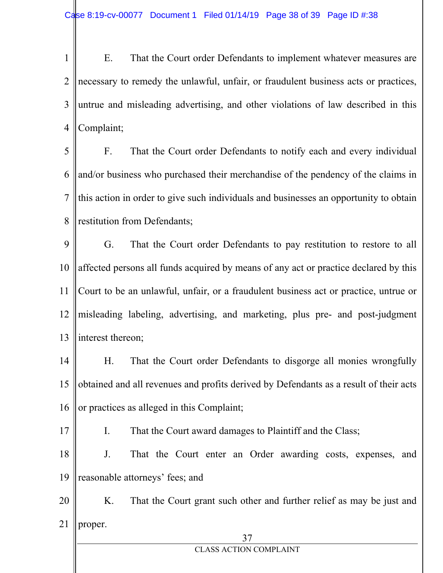1 2 3 4 E. That the Court order Defendants to implement whatever measures are necessary to remedy the unlawful, unfair, or fraudulent business acts or practices, untrue and misleading advertising, and other violations of law described in this Complaint;

5 6 7 8 F. That the Court order Defendants to notify each and every individual and/or business who purchased their merchandise of the pendency of the claims in this action in order to give such individuals and businesses an opportunity to obtain restitution from Defendants;

9 10 11 12 13 G. That the Court order Defendants to pay restitution to restore to all affected persons all funds acquired by means of any act or practice declared by this Court to be an unlawful, unfair, or a fraudulent business act or practice, untrue or misleading labeling, advertising, and marketing, plus pre- and post-judgment interest thereon;

14 15 16 H. That the Court order Defendants to disgorge all monies wrongfully obtained and all revenues and profits derived by Defendants as a result of their acts or practices as alleged in this Complaint;

I. That the Court award damages to Plaintiff and the Class;

17

18 19 J. That the Court enter an Order awarding costs, expenses, and reasonable attorneys' fees; and

20 21 K. That the Court grant such other and further relief as may be just and proper.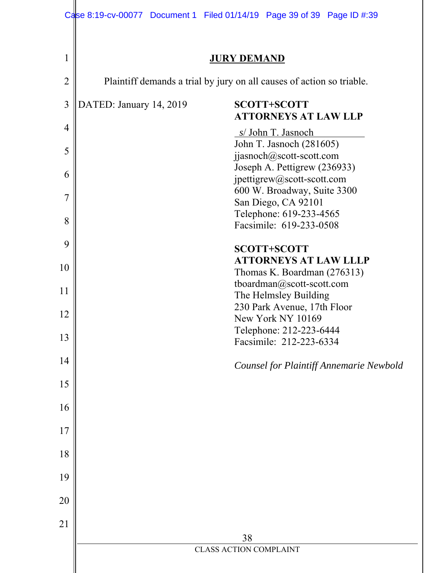|                | Case 8:19-cv-00077 Document 1 Filed 01/14/19 Page 39 of 39 Page ID #:39 |                                                             |
|----------------|-------------------------------------------------------------------------|-------------------------------------------------------------|
| 1              |                                                                         | <b>JURY DEMAND</b>                                          |
| $\overline{2}$ | Plaintiff demands a trial by jury on all causes of action so triable.   |                                                             |
| 3              | DATED: January 14, 2019                                                 | <b>SCOTT+SCOTT</b><br><b>ATTORNEYS AT LAW LLP</b>           |
| 4              |                                                                         | s/ John T. Jasnoch<br>John T. Jasnoch (281605)              |
| 5              |                                                                         | jjasnoch@scott-scott.com<br>Joseph A. Pettigrew (236933)    |
| 6              |                                                                         | jpettigrew@scott-scott.com<br>600 W. Broadway, Suite 3300   |
| 7              |                                                                         | San Diego, CA 92101<br>Telephone: 619-233-4565              |
| 8              |                                                                         | Facsimile: 619-233-0508                                     |
| 9              |                                                                         | <b>SCOTT+SCOTT</b>                                          |
| 10             |                                                                         | <b>ATTORNEYS AT LAW LLLP</b><br>Thomas K. Boardman (276313) |
| 11             |                                                                         | tboardman@scott-scott.com<br>The Helmsley Building          |
| 12             |                                                                         | 230 Park Avenue, 17th Floor<br>New York NY 10169            |
| 13             |                                                                         | Telephone: 212-223-6444<br>Facsimile: 212-223-6334          |
| 14             |                                                                         | <b>Counsel for Plaintiff Annemarie Newbold</b>              |
| 15             |                                                                         |                                                             |
| 16             |                                                                         |                                                             |
| 17             |                                                                         |                                                             |
| 18             |                                                                         |                                                             |
| 19             |                                                                         |                                                             |
| 20             |                                                                         |                                                             |
| 21             |                                                                         |                                                             |
|                |                                                                         | 38<br><b>CLASS ACTION COMPLAINT</b>                         |
|                |                                                                         |                                                             |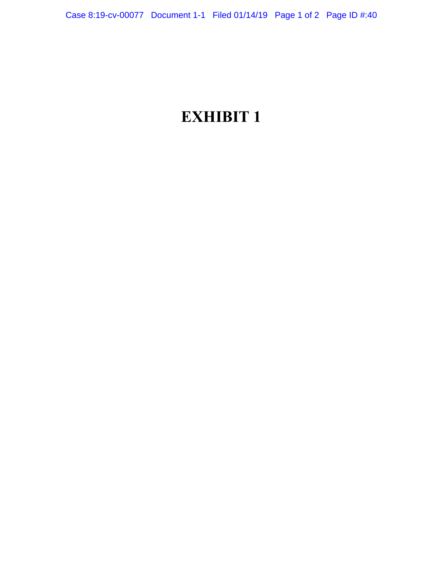# **EXHIBIT 1**